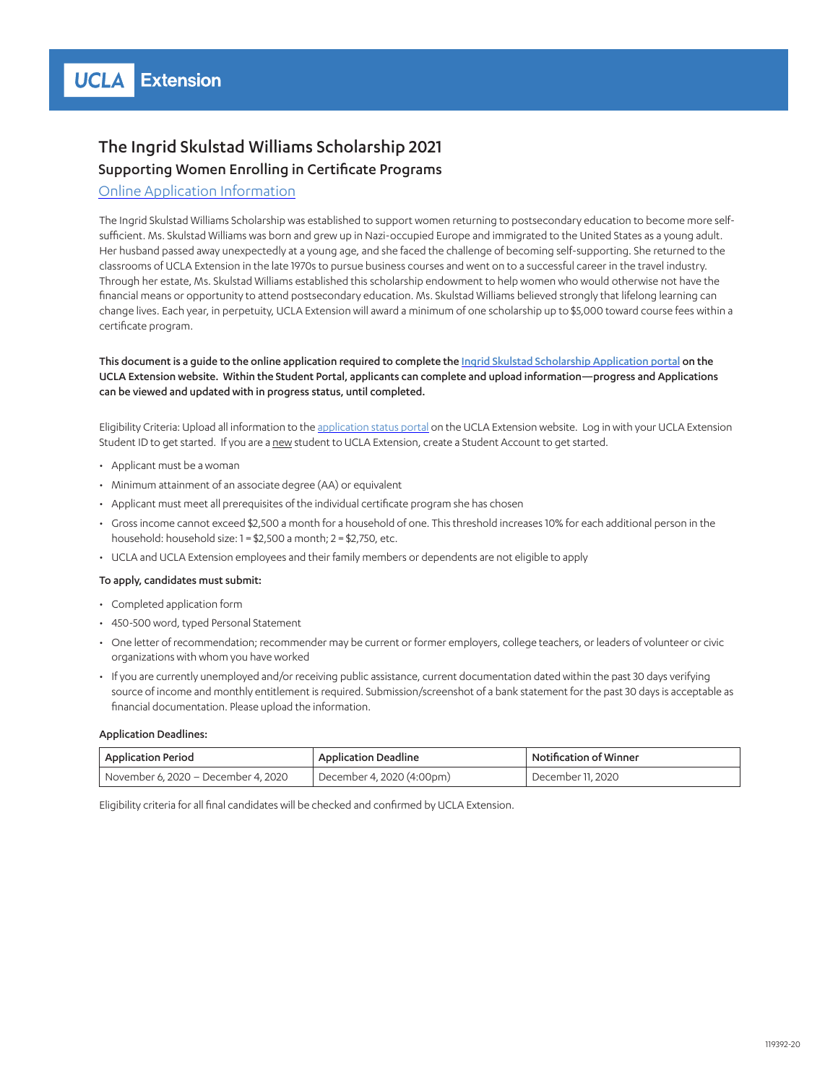## The Ingrid Skulstad Williams Scholarship 2021 Supporting Women Enrolling in Certificate Programs

### [Online Application Information](https://portal.uclaextension.edu/portal/applications/applicationProfile.do?showinternal=true&method=loadApplicationIndex&applicationProfileId=941661158)

The Ingrid Skulstad Williams Scholarship was established to support women returning to postsecondary education to become more selfsufficient. Ms. Skulstad Williams was born and grew up in Nazi-occupied Europe and immigrated to the United States as a young adult. Her husband passed away unexpectedly at a young age, and she faced the challenge of becoming self-supporting. She returned to the classrooms of UCLA Extension in the late 1970s to pursue business courses and went on to a successful career in the travel industry. Through her estate, Ms. Skulstad Williams established this scholarship endowment to help women who would otherwise not have the financial means or opportunity to attend postsecondary education. Ms. Skulstad Williams believed strongly that lifelong learning can change lives. Each year, in perpetuity, UCLA Extension will award a minimum of one scholarship up to \$5,000 toward course fees within a certificate program.

This document is a guide to the online application required to complete the [Ingrid Skulstad Scholarship Application portal](https://portal.uclaextension.edu/portal/applications/applicationProfile.do?showinternal=true&method=loadApplicationIndex&applicationProfileId=941661158) on the UCLA Extension website. Within the Student Portal, applicants can complete and upload information—progress and Applications can be viewed and updated with in progress status, until completed.

Eligibility Criteria: Upload all information to the [application status portal](https://portal.uclaextension.edu/portal/applications/applicationProfile.do?showinternal=true&method=loadApplicationIndex&applicationProfileId=941661158) on the UCLA Extension website. Log in with your UCLA Extension Student ID to get started. If you are a new student to UCLA Extension, create a Student Account to get started.

- Applicant must be a woman
- Minimum attainment of an associate degree (AA) or equivalent
- Applicant must meet all prerequisites of the individual certificate program she has chosen
- Gross income cannot exceed \$2,500 a month for a household of one. This threshold increases 10% for each additional person in the household: household size: 1 = \$2,500 a month; 2 = \$2,750, etc.
- UCLA and UCLA Extension employees and their family members or dependents are not eligible to apply

#### To apply, candidates must submit:

- Completed application form
- 450-500 word, typed Personal Statement
- One letter of recommendation; recommender may be current or former employers, college teachers, or leaders of volunteer or civic organizations with whom you have worked
- If you are currently unemployed and/or receiving public assistance, current documentation dated within the past 30 days verifying source of income and monthly entitlement is required. Submission/screenshot of a bank statement for the past 30 days is acceptable as financial documentation. Please upload the information.

#### Application Deadlines:

| <b>Application Period</b>             | <b>Application Deadline</b> | Notification of Winner |
|---------------------------------------|-----------------------------|------------------------|
| l November 6. 2020 – December 4. 2020 | December 4, 2020 (4:00pm)   | ' December 11. 2020    |

Eligibility criteria for all final candidates will be checked and confirmed by UCLA Extension.